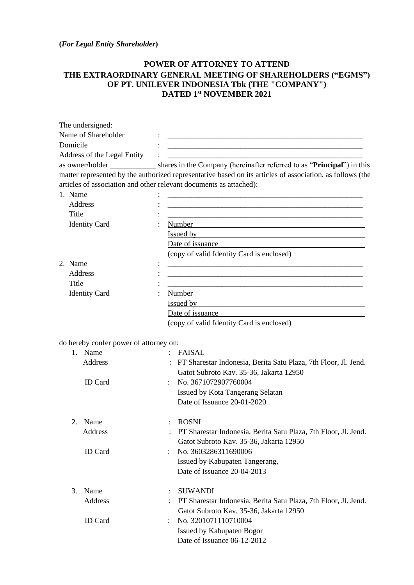**(***For Legal Entity Shareholder***)**

## **POWER OF ATTORNEY TO ATTEND THE EXTRAORDINARY GENERAL MEETING OF SHAREHOLDERS ("EGMS") OF PT. UNILEVER INDONESIA Tbk (THE "COMPANY") DATED 1 st NOVEMBER 2021**

| The undersigned:                       |                                                                                                                                                                                                                               |  |  |  |
|----------------------------------------|-------------------------------------------------------------------------------------------------------------------------------------------------------------------------------------------------------------------------------|--|--|--|
| Name of Shareholder                    |                                                                                                                                                                                                                               |  |  |  |
| Domicile                               |                                                                                                                                                                                                                               |  |  |  |
| Address of the Legal Entity            |                                                                                                                                                                                                                               |  |  |  |
|                                        | as owner/holder ______________ shares in the Company (hereinafter referred to as " <b>Principal</b> ") in this                                                                                                                |  |  |  |
|                                        | matter represented by the authorized representative based on its articles of association, as follows (the                                                                                                                     |  |  |  |
|                                        | articles of association and other relevant documents as attached):                                                                                                                                                            |  |  |  |
| 1. Name                                |                                                                                                                                                                                                                               |  |  |  |
| Address                                | <u> 1989 - Johann John Harry, mars ar yw y cyfeiriad y gynydd y gynydd y gynydd y gynydd y gynydd y gynydd y gyn</u>                                                                                                          |  |  |  |
| Title                                  | <u> 1989 - Johann John Harry Harry Harry Harry Harry Harry Harry Harry Harry Harry Harry Harry Harry Harry Harry</u>                                                                                                          |  |  |  |
| <b>Identity Card</b>                   |                                                                                                                                                                                                                               |  |  |  |
|                                        | Issued by the contract of the contract of the contract of the contract of the contract of the contract of the contract of the contract of the contract of the contract of the contract of the contract of the contract of the |  |  |  |
|                                        |                                                                                                                                                                                                                               |  |  |  |
|                                        | (copy of valid Identity Card is enclosed)                                                                                                                                                                                     |  |  |  |
| 2. Name                                |                                                                                                                                                                                                                               |  |  |  |
| Address                                | <u> 1989 - Johann Barn, mars an t-Amerikaansk politiker (* 1908)</u>                                                                                                                                                          |  |  |  |
| Title                                  | <u> 1989 - Johann Barbara, martxa alemaniar argamento estas especial de la contrada de la contrada de la contrad</u>                                                                                                          |  |  |  |
| <b>Identity Card</b>                   | Number<br><u> 1989 - Johann Stoff, deutscher Stoffen und der Stoffen und der Stoffen und der Stoffen und der Stoffen und der</u>                                                                                              |  |  |  |
|                                        |                                                                                                                                                                                                                               |  |  |  |
|                                        | Date of issuance                                                                                                                                                                                                              |  |  |  |
|                                        | (copy of valid Identity Card is enclosed)                                                                                                                                                                                     |  |  |  |
|                                        |                                                                                                                                                                                                                               |  |  |  |
| do hereby confer power of attorney on: |                                                                                                                                                                                                                               |  |  |  |
| 1. Name                                | FAISAL                                                                                                                                                                                                                        |  |  |  |
| Address                                | PT Sharestar Indonesia, Berita Satu Plaza, 7th Floor, Jl. Jend.                                                                                                                                                               |  |  |  |
|                                        | Gatot Subroto Kav. 35-36, Jakarta 12950                                                                                                                                                                                       |  |  |  |
| <b>ID</b> Card                         | No. 3671072907760004                                                                                                                                                                                                          |  |  |  |
|                                        | Issued by Kota Tangerang Selatan                                                                                                                                                                                              |  |  |  |
|                                        | Date of Issuance 20-01-2020                                                                                                                                                                                                   |  |  |  |
| 2. Name                                | <b>ROSNI</b>                                                                                                                                                                                                                  |  |  |  |
|                                        |                                                                                                                                                                                                                               |  |  |  |
| Address                                | PT Sharestar Indonesia, Berita Satu Plaza, 7th Floor, Jl. Jend.                                                                                                                                                               |  |  |  |
|                                        | Gatot Subroto Kav. 35-36, Jakarta 12950<br>No. 3603286311690006                                                                                                                                                               |  |  |  |
| <b>ID</b> Card                         |                                                                                                                                                                                                                               |  |  |  |
|                                        | Issued by Kabupaten Tangerang,                                                                                                                                                                                                |  |  |  |
|                                        | Date of Issuance 20-04-2013                                                                                                                                                                                                   |  |  |  |
| Name<br>3.                             | <b>SUWANDI</b><br>$\ddot{\cdot}$                                                                                                                                                                                              |  |  |  |
| Address                                | PT Sharestar Indonesia, Berita Satu Plaza, 7th Floor, Jl. Jend.                                                                                                                                                               |  |  |  |
|                                        | Gatot Subroto Kav. 35-36, Jakarta 12950                                                                                                                                                                                       |  |  |  |
| <b>ID</b> Card                         | No. 3201071110710004                                                                                                                                                                                                          |  |  |  |
|                                        | Issued by Kabupaten Bogor                                                                                                                                                                                                     |  |  |  |
|                                        | Date of Issuance 06-12-2012                                                                                                                                                                                                   |  |  |  |
|                                        |                                                                                                                                                                                                                               |  |  |  |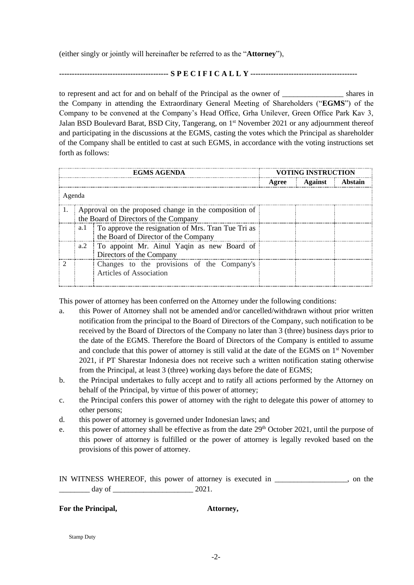(either singly or jointly will hereinafter be referred to as the "**Attorney**"),

**------------------------------------------- S P E C I F I C A L L Y ------------------------------------------**

to represent and act for and on behalf of the Principal as the owner of shares in the Company in attending the Extraordinary General Meeting of Shareholders ("**EGMS**") of the Company to be convened at the Company's Head Office, Grha Unilever, Green Office Park Kav 3, Jalan BSD Boulevard Barat, BSD City, Tangerang, on 1<sup>st</sup> November 2021 or any adjournment thereof and participating in the discussions at the EGMS, casting the votes which the Principal as shareholder of the Company shall be entitled to cast at such EGMS, in accordance with the voting instructions set forth as follows:

| <b>EGMS AGENDA</b> |                                                                                                |                                                                                            | VOTING INSTRUCTION |                           |  |
|--------------------|------------------------------------------------------------------------------------------------|--------------------------------------------------------------------------------------------|--------------------|---------------------------|--|
|                    |                                                                                                |                                                                                            |                    | Agree   Against   Abstain |  |
| Agenda             |                                                                                                |                                                                                            |                    |                           |  |
|                    | Approval on the proposed change in the composition of<br>the Board of Directors of the Company |                                                                                            |                    |                           |  |
|                    | a.l                                                                                            | To approve the resignation of Mrs. Tran Tue Tri as<br>the Board of Director of the Company |                    |                           |  |
|                    |                                                                                                | a.2 To appoint Mr. Ainul Yaqin as new Board of<br>Directors of the Company                 |                    |                           |  |
|                    |                                                                                                | Changes to the provisions of the Company's<br>Articles of Association                      |                    |                           |  |

This power of attorney has been conferred on the Attorney under the following conditions:

- a. this Power of Attorney shall not be amended and/or cancelled/withdrawn without prior written notification from the principal to the Board of Directors of the Company, such notification to be received by the Board of Directors of the Company no later than 3 (three) business days prior to the date of the EGMS. Therefore the Board of Directors of the Company is entitled to assume and conclude that this power of attorney is still valid at the date of the EGMS on 1<sup>st</sup> November 2021, if PT Sharestar Indonesia does not receive such a written notification stating otherwise from the Principal, at least 3 (three) working days before the date of EGMS;
- b. the Principal undertakes to fully accept and to ratify all actions performed by the Attorney on behalf of the Principal, by virtue of this power of attorney;
- c. the Principal confers this power of attorney with the right to delegate this power of attorney to other persons;
- d. this power of attorney is governed under Indonesian laws; and
- e. this power of attorney shall be effective as from the date 29<sup>th</sup> October 2021, until the purpose of this power of attorney is fulfilled or the power of attorney is legally revoked based on the provisions of this power of attorney.

IN WITNESS WHEREOF, this power of attorney is executed in \_\_\_\_\_\_\_\_\_\_\_\_\_\_\_\_\_\_\_, on the  $\frac{day \text{ of } }{2021.}$ 

## **For the Principal, Attorney,**

Stamp Duty